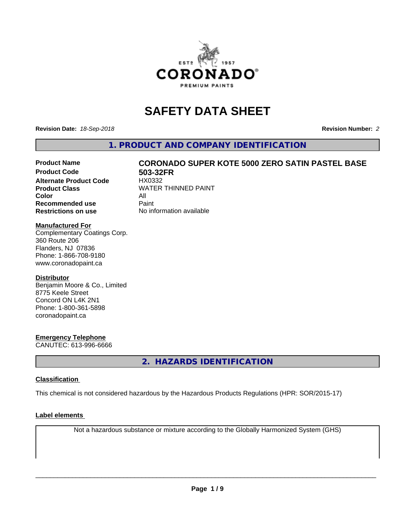

## **SAFETY DATA SHEET**

**Revision Date:** *18-Sep-2018* **Revision Number:** *2*

**1. PRODUCT AND COMPANY IDENTIFICATION**

# Product Name **CORONADO SUPER KOTE 5000 ZERO SATIN PASTEL BASE**<br>Product Code **Reading the Solution of Song Service**

**Alternate Product Code Color** All<br> **Recommended use** Paint **Recommended use Restrictions on use** No information available

**503-32FR**<br>HX0332 **Product Class WATER THINNED PAINT** 

#### **Manufactured For**

Complementary Coatings Corp. 360 Route 206 Flanders, NJ 07836 Phone: 1-866-708-9180 www.coronadopaint.ca

#### **Distributor**

Benjamin Moore & Co., Limited 8775 Keele Street Concord ON L4K 2N1 Phone: 1-800-361-5898 coronadopaint.ca

#### **Emergency Telephone**

CANUTEC: 613-996-6666

**2. HAZARDS IDENTIFICATION**

#### **Classification**

This chemical is not considered hazardous by the Hazardous Products Regulations (HPR: SOR/2015-17)

#### **Label elements**

Not a hazardous substance or mixture according to the Globally Harmonized System (GHS)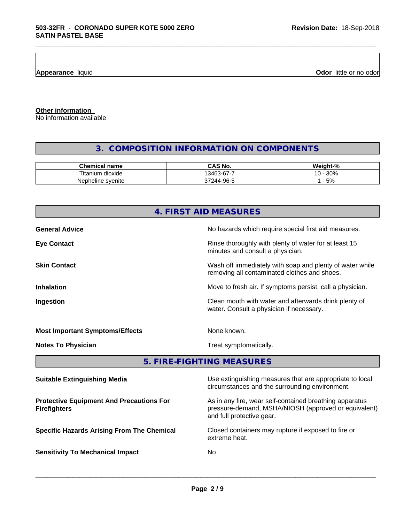**Appearance** liquid

**Odor** little or no odor

**Other information**

No information available

### **3. COMPOSITION INFORMATION ON COMPONENTS**

\_\_\_\_\_\_\_\_\_\_\_\_\_\_\_\_\_\_\_\_\_\_\_\_\_\_\_\_\_\_\_\_\_\_\_\_\_\_\_\_\_\_\_\_\_\_\_\_\_\_\_\_\_\_\_\_\_\_\_\_\_\_\_\_\_\_\_\_\_\_\_\_\_\_\_\_\_\_\_\_\_\_\_\_\_\_\_\_\_\_\_\_\_

| Chemical.<br>name                        | $\sim$ $\sim$<br>~ -<br> | <br>$\sim$<br>mz<br>$\sqrt{2}$ |
|------------------------------------------|--------------------------|--------------------------------|
| --<br>n dioxide<br><u>Hitanium</u>       | -<br>$\sim$<br>ว463<br>  | 200<br>"<br>.<br>- JU 70       |
| <b>Nep</b><br>∘ svenite<br>וhe.<br>line. | ۵۵.<br>$\sim$ $\sim$     | 5%                             |

## **4. FIRST AID MEASURES General Advice General Advice No hazards which require special first aid measures. Eye Contact Exercise 20 All 20 All 20 All 20 All 20 All 20 All 20 All 20 All 20 All 20 All 20 All 20 All 20 All 20 All 20 All 20 All 20 All 20 All 20 All 20 All 20 All 20 All 20 All 20 All 20 All 20 All 20 All 20 All 20** minutes and consult a physician. **Skin Contact** Same of the Mash off immediately with soap and plenty of water while removing all contaminated clothes and shoes. **Inhalation Inhalation Move to fresh air.** If symptoms persist, call a physician. **Ingestion Ingestion Clean mouth with water and afterwards drink plenty of** water. Consult a physician if necessary. **Most Important Symptoms/Effects** None known. **Notes To Physician** Motes **To Physician** Treat symptomatically. **5. FIRE-FIGHTING MEASURES**

| <b>Suitable Extinguishing Media</b>                                    | Use extinguishing measures that are appropriate to local<br>circumstances and the surrounding environment.                                   |
|------------------------------------------------------------------------|----------------------------------------------------------------------------------------------------------------------------------------------|
| <b>Protective Equipment And Precautions For</b><br><b>Firefighters</b> | As in any fire, wear self-contained breathing apparatus<br>pressure-demand, MSHA/NIOSH (approved or equivalent)<br>and full protective gear. |
| <b>Specific Hazards Arising From The Chemical</b>                      | Closed containers may rupture if exposed to fire or<br>extreme heat.                                                                         |
| <b>Sensitivity To Mechanical Impact</b>                                | No.                                                                                                                                          |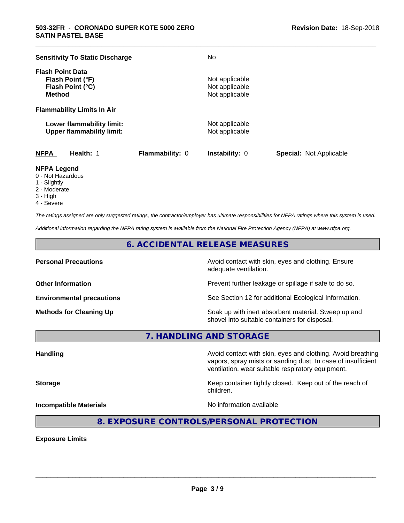| <b>Sensitivity To Static Discharge</b>                                           |                 | No                                                 |                                |
|----------------------------------------------------------------------------------|-----------------|----------------------------------------------------|--------------------------------|
| <b>Flash Point Data</b><br>Flash Point (°F)<br>Flash Point (°C)<br><b>Method</b> |                 | Not applicable<br>Not applicable<br>Not applicable |                                |
| <b>Flammability Limits In Air</b>                                                |                 |                                                    |                                |
| Lower flammability limit:<br><b>Upper flammability limit:</b>                    |                 | Not applicable<br>Not applicable                   |                                |
| <b>NFPA</b><br>Health: 1                                                         | Flammability: 0 | <b>Instability: 0</b>                              | <b>Special: Not Applicable</b> |

\_\_\_\_\_\_\_\_\_\_\_\_\_\_\_\_\_\_\_\_\_\_\_\_\_\_\_\_\_\_\_\_\_\_\_\_\_\_\_\_\_\_\_\_\_\_\_\_\_\_\_\_\_\_\_\_\_\_\_\_\_\_\_\_\_\_\_\_\_\_\_\_\_\_\_\_\_\_\_\_\_\_\_\_\_\_\_\_\_\_\_\_\_

#### **NFPA Legend**

- 0 Not Hazardous
- 1 Slightly
- 2 Moderate
- 3 High
- 4 Severe

*The ratings assigned are only suggested ratings, the contractor/employer has ultimate responsibilities for NFPA ratings where this system is used.*

*Additional information regarding the NFPA rating system is available from the National Fire Protection Agency (NFPA) at www.nfpa.org.*

#### **6. ACCIDENTAL RELEASE MEASURES**

**Personal Precautions Precautions** Avoid contact with skin, eyes and clothing. Ensure adequate ventilation.

**Other Information Other Information Prevent further leakage or spillage if safe to do so.** 

**Environmental precautions** See Section 12 for additional Ecological Information.

**Methods for Cleaning Up Example 20 Soak** up with inert absorbent material. Sweep up and shovel into suitable containers for disposal.

vapors, spray mists or sanding dust. In case of insufficient

ventilation, wear suitable respiratory equipment.

**7. HANDLING AND STORAGE**

**Handling Handling Avoid contact with skin, eyes and clothing. Avoid breathing** 

**Storage Keep container tightly closed.** Keep out of the reach of

**Incompatible Materials Incompatible Materials No information available** 

 $\overline{\phantom{a}}$  ,  $\overline{\phantom{a}}$  ,  $\overline{\phantom{a}}$  ,  $\overline{\phantom{a}}$  ,  $\overline{\phantom{a}}$  ,  $\overline{\phantom{a}}$  ,  $\overline{\phantom{a}}$  ,  $\overline{\phantom{a}}$  ,  $\overline{\phantom{a}}$  ,  $\overline{\phantom{a}}$  ,  $\overline{\phantom{a}}$  ,  $\overline{\phantom{a}}$  ,  $\overline{\phantom{a}}$  ,  $\overline{\phantom{a}}$  ,  $\overline{\phantom{a}}$  ,  $\overline{\phantom{a}}$ 

**8. EXPOSURE CONTROLS/PERSONAL PROTECTION**

children.

**Exposure Limits**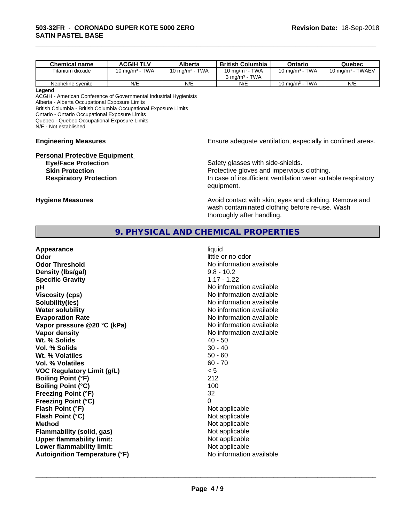| <b>Chemical name</b> | <b>ACGIH TLV</b>         | Alberta                    | <b>British Columbia</b>                                      | Ontario                       | Quebec                                 |
|----------------------|--------------------------|----------------------------|--------------------------------------------------------------|-------------------------------|----------------------------------------|
| Titanium dioxide     | <b>TWA</b><br>10 ma/mª - | <b>TWA</b><br>10 ma/m $^3$ | <b>TWA</b><br>10 mg/m <sup>3</sup> -                         | 10 mg/m $3$ - TWA             | <b>TWAEV</b><br>10 mg/m <sup>3</sup> - |
|                      |                          |                            | <b>TWA</b><br>$3 \text{ ma/m}$ <sup>3</sup> - $\overline{1}$ |                               |                                        |
| Nepheline svenite    | N/E                      | N/E                        | N/E                                                          | TWA<br>10 mg/m <sup>3</sup> - | N/E                                    |

\_\_\_\_\_\_\_\_\_\_\_\_\_\_\_\_\_\_\_\_\_\_\_\_\_\_\_\_\_\_\_\_\_\_\_\_\_\_\_\_\_\_\_\_\_\_\_\_\_\_\_\_\_\_\_\_\_\_\_\_\_\_\_\_\_\_\_\_\_\_\_\_\_\_\_\_\_\_\_\_\_\_\_\_\_\_\_\_\_\_\_\_\_

#### **Legend**

ACGIH - American Conference of Governmental Industrial Hygienists Alberta - Alberta Occupational Exposure Limits British Columbia - British Columbia Occupational Exposure Limits Ontario - Ontario Occupational Exposure Limits Quebec - Quebec Occupational Exposure Limits N/E - Not established

# **Personal Protective Equipment**<br>**Eye/Face Protection**

**Engineering Measures Engineering Measures Engineering Measures Ensure adequate ventilation, especially in confined areas.** 

Safety glasses with side-shields. **Skin Protection Protection Protective gloves and impervious clothing. Respiratory Protection In case of insufficient ventilation wear suitable respiratory** equipment.

**Hygiene Measures Avoid contact with skin, eyes and clothing. Remove and Avoid contact with skin, eyes and clothing. Remove and** wash contaminated clothing before re-use. Wash thoroughly after handling.

#### **9. PHYSICAL AND CHEMICAL PROPERTIES**

| Flash Point (°F)<br>Not applicable<br>Not applicable<br>Flash Point (°C)<br>Not applicable<br><b>Method</b><br>Not applicable<br><b>Flammability (solid, gas)</b><br><b>Upper flammability limit:</b><br>Not applicable<br>Not applicable<br>Lower flammability limit:<br>No information available<br><b>Autoignition Temperature (°F)</b> | Appearance<br>Odor<br><b>Odor Threshold</b><br>Density (Ibs/gal)<br><b>Specific Gravity</b><br>рH<br><b>Viscosity (cps)</b><br>Solubility(ies)<br><b>Water solubility</b><br><b>Evaporation Rate</b><br>Vapor pressure @20 °C (kPa)<br>Vapor density<br>Wt. % Solids<br>Vol. % Solids<br>Wt. % Volatiles<br>Vol. % Volatiles<br><b>VOC Regulatory Limit (g/L)</b><br><b>Boiling Point (°F)</b><br><b>Boiling Point (°C)</b><br><b>Freezing Point (°F)</b> | liquid<br>little or no odor<br>No information available<br>$9.8 - 10.2$<br>$1.17 - 1.22$<br>No information available<br>No information available<br>No information available<br>No information available<br>No information available<br>No information available<br>No information available<br>$40 - 50$<br>$30 - 40$<br>$50 - 60$<br>$60 - 70$<br>< 5<br>212<br>100<br>32 |
|--------------------------------------------------------------------------------------------------------------------------------------------------------------------------------------------------------------------------------------------------------------------------------------------------------------------------------------------|-----------------------------------------------------------------------------------------------------------------------------------------------------------------------------------------------------------------------------------------------------------------------------------------------------------------------------------------------------------------------------------------------------------------------------------------------------------|-----------------------------------------------------------------------------------------------------------------------------------------------------------------------------------------------------------------------------------------------------------------------------------------------------------------------------------------------------------------------------|
| <b>Freezing Point (°C)</b><br>0                                                                                                                                                                                                                                                                                                            |                                                                                                                                                                                                                                                                                                                                                                                                                                                           |                                                                                                                                                                                                                                                                                                                                                                             |
|                                                                                                                                                                                                                                                                                                                                            |                                                                                                                                                                                                                                                                                                                                                                                                                                                           |                                                                                                                                                                                                                                                                                                                                                                             |
|                                                                                                                                                                                                                                                                                                                                            |                                                                                                                                                                                                                                                                                                                                                                                                                                                           |                                                                                                                                                                                                                                                                                                                                                                             |
|                                                                                                                                                                                                                                                                                                                                            |                                                                                                                                                                                                                                                                                                                                                                                                                                                           |                                                                                                                                                                                                                                                                                                                                                                             |
|                                                                                                                                                                                                                                                                                                                                            |                                                                                                                                                                                                                                                                                                                                                                                                                                                           |                                                                                                                                                                                                                                                                                                                                                                             |
|                                                                                                                                                                                                                                                                                                                                            |                                                                                                                                                                                                                                                                                                                                                                                                                                                           |                                                                                                                                                                                                                                                                                                                                                                             |
|                                                                                                                                                                                                                                                                                                                                            |                                                                                                                                                                                                                                                                                                                                                                                                                                                           |                                                                                                                                                                                                                                                                                                                                                                             |
|                                                                                                                                                                                                                                                                                                                                            |                                                                                                                                                                                                                                                                                                                                                                                                                                                           |                                                                                                                                                                                                                                                                                                                                                                             |
|                                                                                                                                                                                                                                                                                                                                            |                                                                                                                                                                                                                                                                                                                                                                                                                                                           |                                                                                                                                                                                                                                                                                                                                                                             |
|                                                                                                                                                                                                                                                                                                                                            |                                                                                                                                                                                                                                                                                                                                                                                                                                                           |                                                                                                                                                                                                                                                                                                                                                                             |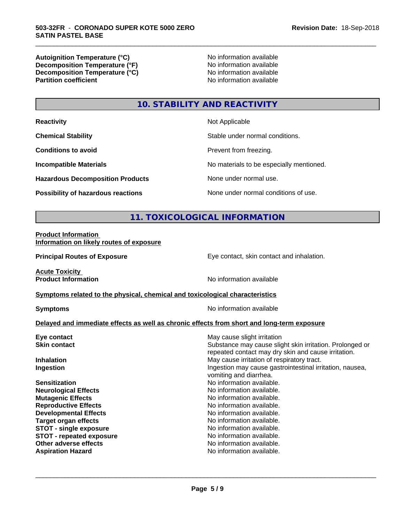**Autoignition Temperature (°C)**<br> **Decomposition Temperature (°F)** No information available **Decomposition Temperature (°F)**<br> **Decomposition Temperature (°C)**<br>
No information available **Decomposition Temperature (°C) Partition coefficient** 

\_\_\_\_\_\_\_\_\_\_\_\_\_\_\_\_\_\_\_\_\_\_\_\_\_\_\_\_\_\_\_\_\_\_\_\_\_\_\_\_\_\_\_\_\_\_\_\_\_\_\_\_\_\_\_\_\_\_\_\_\_\_\_\_\_\_\_\_\_\_\_\_\_\_\_\_\_\_\_\_\_\_\_\_\_\_\_\_\_\_\_\_\_

## **10. STABILITY AND REACTIVITY**

| <b>Reactivity</b>                         | Not Applicable                           |
|-------------------------------------------|------------------------------------------|
| <b>Chemical Stability</b>                 | Stable under normal conditions.          |
| <b>Conditions to avoid</b>                | Prevent from freezing.                   |
| <b>Incompatible Materials</b>             | No materials to be especially mentioned. |
| <b>Hazardous Decomposition Products</b>   | None under normal use.                   |
| <b>Possibility of hazardous reactions</b> | None under normal conditions of use.     |

#### **11. TOXICOLOGICAL INFORMATION**

#### **Product Information Information on likely routes of exposure**

**Principal Routes of Exposure Exposure** Eye contact, skin contact and inhalation.

**Acute Toxicity** 

**Product Information Internation International Contract Contract Area Mondaterry Area Mondaterry Area Mondaterry Area Mondaterry Area Mondaterry Area Mondaterry Area Mondaterry Area Mondaterry Area Mondaterry Area Mond** 

#### **Symptoms** related to the physical, chemical and toxicological characteristics

**Symptoms** No information available

#### **Delayed and immediate effects as well as chronic effects from short and long-term exposure**

| May cause slight irritation                                                                                     |
|-----------------------------------------------------------------------------------------------------------------|
| Substance may cause slight skin irritation. Prolonged or<br>repeated contact may dry skin and cause irritation. |
| May cause irritation of respiratory tract.                                                                      |
| Ingestion may cause gastrointestinal irritation, nausea,<br>vomiting and diarrhea.                              |
| No information available.                                                                                       |
| No information available.                                                                                       |
| No information available.                                                                                       |
| No information available.                                                                                       |
| No information available.                                                                                       |
| No information available.                                                                                       |
| No information available.                                                                                       |
| No information available.                                                                                       |
| No information available.                                                                                       |
| No information available.                                                                                       |
|                                                                                                                 |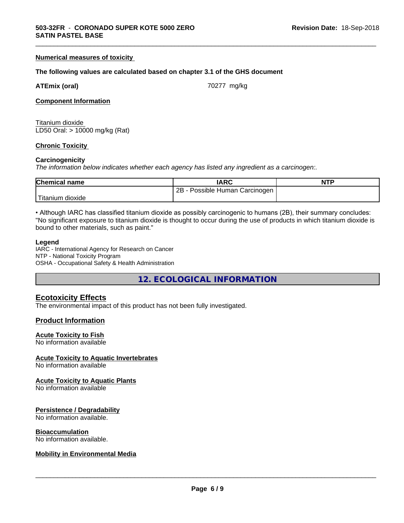#### **Numerical measures of toxicity**

#### **The following values are calculated based on chapter 3.1 of the GHS document**

|  | <b>ATEmix (oral)</b> |
|--|----------------------|
|  |                      |

**ATEMIX (1999)** 70277 mg/kg

\_\_\_\_\_\_\_\_\_\_\_\_\_\_\_\_\_\_\_\_\_\_\_\_\_\_\_\_\_\_\_\_\_\_\_\_\_\_\_\_\_\_\_\_\_\_\_\_\_\_\_\_\_\_\_\_\_\_\_\_\_\_\_\_\_\_\_\_\_\_\_\_\_\_\_\_\_\_\_\_\_\_\_\_\_\_\_\_\_\_\_\_\_

#### **Component Information**

Titanium dioxide LD50 Oral: > 10000 mg/kg (Rat)

#### **Chronic Toxicity**

#### **Carcinogenicity**

*The information below indicateswhether each agency has listed any ingredient as a carcinogen:.*

| <b>Chemical name</b> | <b>IARC</b>                     | <b>NTP</b> |
|----------------------|---------------------------------|------------|
|                      | 2B<br>Possible Human Carcinogen |            |
| Titanium<br>dioxide  |                                 |            |

• Although IARC has classified titanium dioxide as possibly carcinogenic to humans (2B), their summary concludes: "No significant exposure to titanium dioxide is thought to occur during the use of products in which titanium dioxide is bound to other materials, such as paint."

#### **Legend**

IARC - International Agency for Research on Cancer NTP - National Toxicity Program OSHA - Occupational Safety & Health Administration

**12. ECOLOGICAL INFORMATION**

#### **Ecotoxicity Effects**

The environmental impact of this product has not been fully investigated.

#### **Product Information**

#### **Acute Toxicity to Fish**

No information available

#### **Acute Toxicity to Aquatic Invertebrates**

No information available

#### **Acute Toxicity to Aquatic Plants**

No information available

#### **Persistence / Degradability**

No information available.

#### **Bioaccumulation**

No information available.

#### **Mobility in Environmental Media**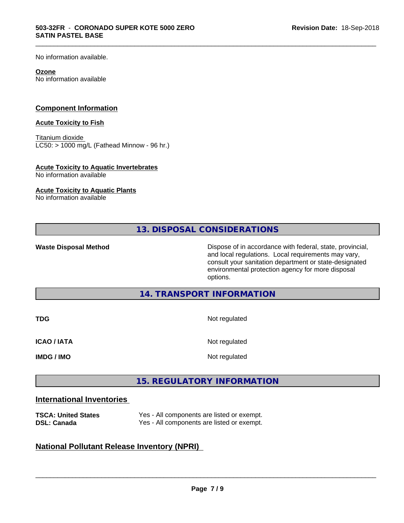No information available.

#### **Ozone**

No information available

#### **Component Information**

#### **Acute Toxicity to Fish**

Titanium dioxide  $LCS0:$  > 1000 mg/L (Fathead Minnow - 96 hr.)

#### **Acute Toxicity to Aquatic Invertebrates**

No information available

#### **Acute Toxicity to Aquatic Plants**

No information available

**13. DISPOSAL CONSIDERATIONS**

\_\_\_\_\_\_\_\_\_\_\_\_\_\_\_\_\_\_\_\_\_\_\_\_\_\_\_\_\_\_\_\_\_\_\_\_\_\_\_\_\_\_\_\_\_\_\_\_\_\_\_\_\_\_\_\_\_\_\_\_\_\_\_\_\_\_\_\_\_\_\_\_\_\_\_\_\_\_\_\_\_\_\_\_\_\_\_\_\_\_\_\_\_

**Waste Disposal Method** Dispose of in accordance with federal, state, provincial, and local regulations. Local requirements may vary, consult your sanitation department or state-designated environmental protection agency for more disposal options.

**14. TRANSPORT INFORMATION**

| <b>TDG</b>         | Not regulated |
|--------------------|---------------|
| <b>ICAO / IATA</b> | Not regulated |
| <b>IMDG / IMO</b>  | Not regulated |

#### **15. REGULATORY INFORMATION**

#### **International Inventories**

| <b>TSCA: United States</b> | Yes - All components are listed or exempt. |
|----------------------------|--------------------------------------------|
| <b>DSL: Canada</b>         | Yes - All components are listed or exempt. |

#### **National Pollutant Release Inventory (NPRI)**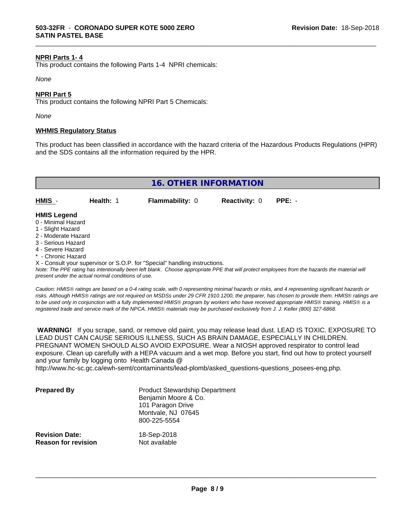#### **NPRI Parts 1- 4**

This product contains the following Parts 1-4 NPRI chemicals:

#### *None*

#### **NPRI Part 5**

This product contains the following NPRI Part 5 Chemicals:

*None*

#### **WHMIS Regulatory Status**

This product has been classified in accordance with the hazard criteria of the Hazardous Products Regulations (HPR) and the SDS contains all the information required by the HPR.

\_\_\_\_\_\_\_\_\_\_\_\_\_\_\_\_\_\_\_\_\_\_\_\_\_\_\_\_\_\_\_\_\_\_\_\_\_\_\_\_\_\_\_\_\_\_\_\_\_\_\_\_\_\_\_\_\_\_\_\_\_\_\_\_\_\_\_\_\_\_\_\_\_\_\_\_\_\_\_\_\_\_\_\_\_\_\_\_\_\_\_\_\_

| 16. OTHER INFORMATION                    |           |                        |                             |  |
|------------------------------------------|-----------|------------------------|-----------------------------|--|
| HMIS -                                   | Health: 1 | <b>Flammability: 0</b> | <b>Reactivity: 0 PPE: -</b> |  |
| <b>HMIS Legend</b><br>0 - Minimal Hazard |           |                        |                             |  |

- 
- 1 Slight Hazard
- 2 Moderate Hazard
- 3 Serious Hazard
- 4 Severe Hazard
- \* Chronic Hazard

X - Consult your supervisor or S.O.P. for "Special" handling instructions.

*Note: The PPE rating has intentionally been left blank. Choose appropriate PPE that will protect employees from the hazards the material will present under the actual normal conditions of use.*

*Caution: HMISÒ ratings are based on a 0-4 rating scale, with 0 representing minimal hazards or risks, and 4 representing significant hazards or risks. Although HMISÒ ratings are not required on MSDSs under 29 CFR 1910.1200, the preparer, has chosen to provide them. HMISÒ ratings are to be used only in conjunction with a fully implemented HMISÒ program by workers who have received appropriate HMISÒ training. HMISÒ is a registered trade and service mark of the NPCA. HMISÒ materials may be purchased exclusively from J. J. Keller (800) 327-6868.*

 **WARNING!** If you scrape, sand, or remove old paint, you may release lead dust. LEAD IS TOXIC. EXPOSURE TO LEAD DUST CAN CAUSE SERIOUS ILLNESS, SUCH AS BRAIN DAMAGE, ESPECIALLY IN CHILDREN. PREGNANT WOMEN SHOULD ALSO AVOID EXPOSURE.Wear a NIOSH approved respirator to control lead exposure. Clean up carefully with a HEPA vacuum and a wet mop. Before you start, find out how to protect yourself and your family by logging onto Health Canada @

http://www.hc-sc.gc.ca/ewh-semt/contaminants/lead-plomb/asked\_questions-questions\_posees-eng.php.

| <b>Prepared By</b>                                  | <b>Product Stewardship Department</b><br>Benjamin Moore & Co.<br>101 Paragon Drive<br>Montvale, NJ 07645<br>800-225-5554 |  |
|-----------------------------------------------------|--------------------------------------------------------------------------------------------------------------------------|--|
| <b>Revision Date:</b><br><b>Reason for revision</b> | 18-Sep-2018<br>Not available                                                                                             |  |